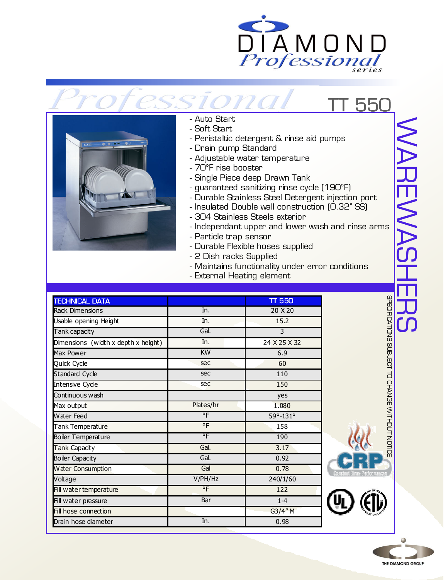



## - Auto Start

- Soft Start
- Peristaltic detergent & rinse aid pumps
- Drain pump Standard

ona

- Adjustable water temperature
- 70°F rise booster
- Single Piece deep Drawn Tank
- guaranteed sanitizing rinse cycle (190°F)
- Durable Stainless Steel Detergent injection port
- Insulated Double wall construction (0.32" SS)
- 304 Stainless Steels exterior
- Independant upper and lower wash and rinse arms
- Particle trap sensor
- Durable Flexible hoses supplied
- 2 Dish racks Supplied
- Maintains functionality under error conditions
- External Heating element

| <b>TECHNICAL DATA</b>               |           | <b>TT 550</b> |
|-------------------------------------|-----------|---------------|
| <b>Rack Dimensions</b>              | In.       | 20 X 20       |
| Usable opening Height               | In.       | 15.2          |
| Tank capacity                       | Gal.      | 3             |
| Dimensions (width x depth x height) | In.       | 24 X 25 X 32  |
| Max Power                           | <b>KW</b> | 6.9           |
| Quick Cycle                         | sec       | 60            |
| <b>Standard Cycle</b>               | sec       | 110           |
| Intensive Cycle                     | sec       | 150           |
| Continuous wash                     |           | yes           |
| Max output                          | Plates/hr | 1.080         |
| Water Feed                          | °F        | 59°-131°      |
| Tank Temperature                    | °F        | 158           |
| <b>Boiler Temperature</b>           | ۰F        | 190           |
| Tank Capacity                       | Gal.      | 3.17          |
| <b>Boiler Capacity</b>              | Gal.      | 0.92          |
| Water Consumption                   | Gal       | 0.78          |
| Votage                              | V/PH/Hz   | 240/1/60      |
| Fill water temperature              | °F        | 122           |
| Fill water pressure                 | Bar       | $1 - 4$       |
| Fill hose connection                |           | G3/4"M        |
| Drain hose diameter                 | In.       | 0.98          |



550



SPECIFICATIONS SUBJECT TO CHANGE WITHOUT NOTICE